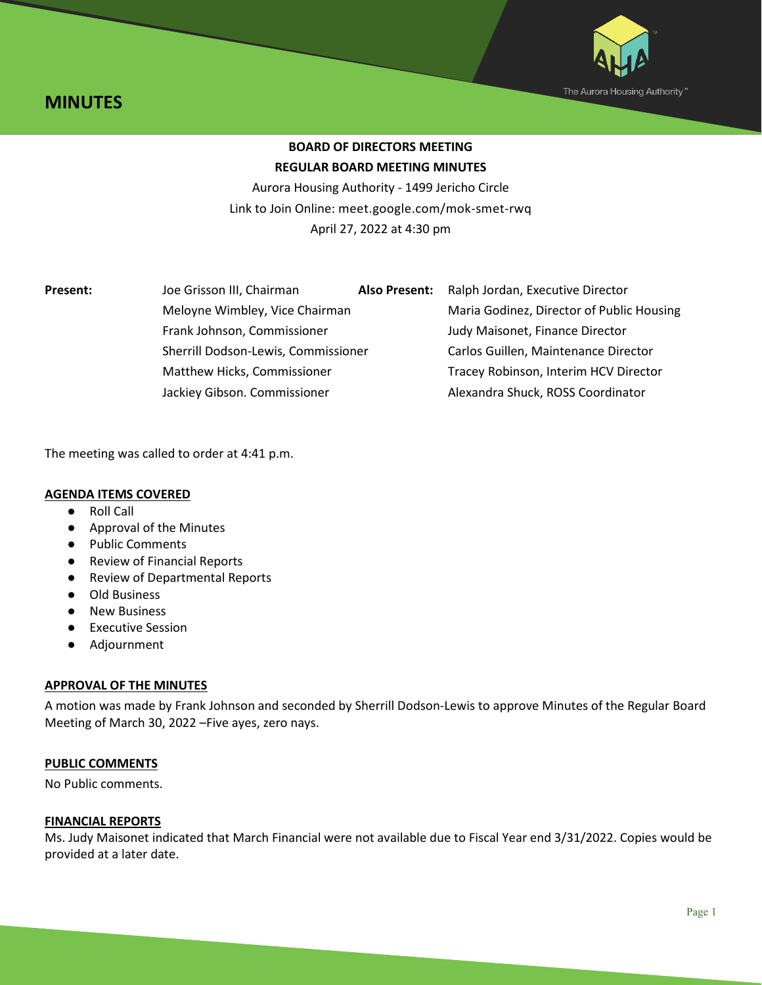



# **BOARD OF DIRECTORS MEETING REGULAR BOARD MEETING MINUTES**

Aurora Housing Authority - 1499 Jericho Circle Link to Join Online: meet.google.com/mok-smet-rwq April 27, 2022 at 4:30 pm

| <b>Present:</b> | Joe Grisson III, Chairman                                     | <b>Also Present:</b> | Ralph Jordan, Executive Director          |
|-----------------|---------------------------------------------------------------|----------------------|-------------------------------------------|
|                 | Meloyne Wimbley, Vice Chairman<br>Frank Johnson, Commissioner |                      | Maria Godinez, Director of Public Housing |
|                 |                                                               |                      | Judy Maisonet, Finance Director           |
|                 | Sherrill Dodson-Lewis, Commissioner                           |                      | Carlos Guillen, Maintenance Director      |
|                 | Matthew Hicks, Commissioner                                   |                      | Tracey Robinson, Interim HCV Director     |
|                 | Jackiey Gibson. Commissioner                                  |                      | Alexandra Shuck, ROSS Coordinator         |

The meeting was called to order at 4:41 p.m.

#### **AGENDA ITEMS COVERED**

- Roll Call
- Approval of the Minutes
- Public Comments
- Review of Financial Reports
- Review of Departmental Reports
- Old Business
- New Business
- Executive Session
- Adjournment

## **APPROVAL OF THE MINUTES**

A motion was made by Frank Johnson and seconded by Sherrill Dodson-Lewis to approve Minutes of the Regular Board Meeting of March 30, 2022 –Five ayes, zero nays.

## **PUBLIC COMMENTS**

No Public comments.

#### **FINANCIAL REPORTS**

Ms. Judy Maisonet indicated that March Financial were not available due to Fiscal Year end 3/31/2022. Copies would be provided at a later date.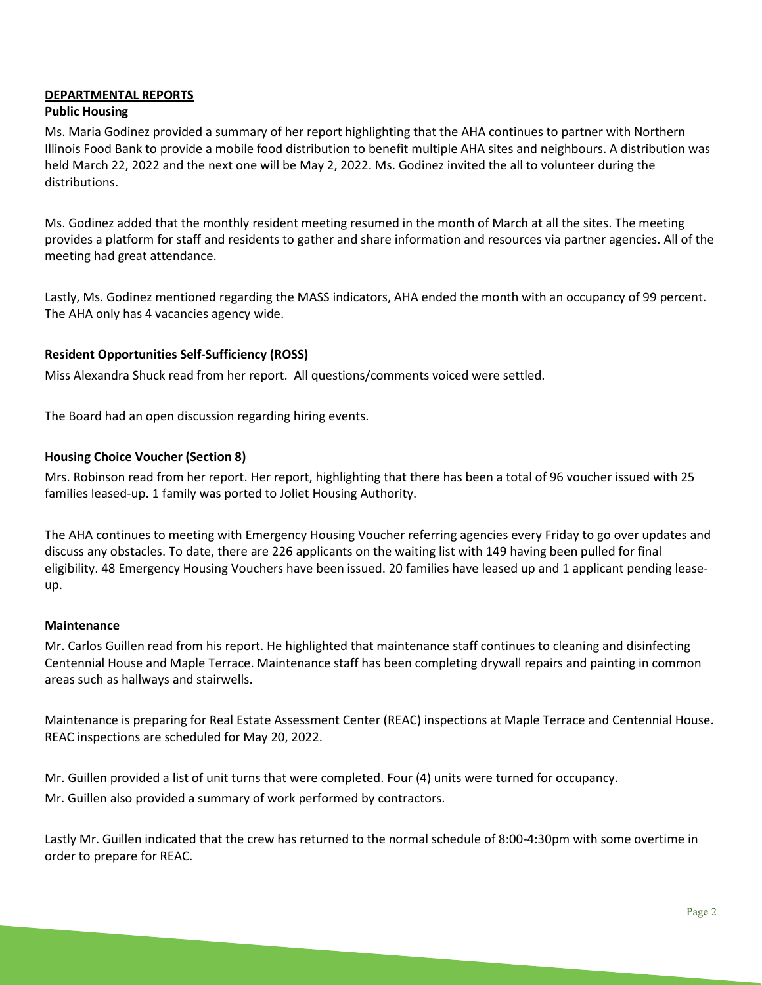## **DEPARTMENTAL REPORTS**

#### **Public Housing**

Ms. Maria Godinez provided a summary of her report highlighting that the AHA continues to partner with Northern Illinois Food Bank to provide a mobile food distribution to benefit multiple AHA sites and neighbours. A distribution was held March 22, 2022 and the next one will be May 2, 2022. Ms. Godinez invited the all to volunteer during the distributions.

Ms. Godinez added that the monthly resident meeting resumed in the month of March at all the sites. The meeting provides a platform for staff and residents to gather and share information and resources via partner agencies. All of the meeting had great attendance.

Lastly, Ms. Godinez mentioned regarding the MASS indicators, AHA ended the month with an occupancy of 99 percent. The AHA only has 4 vacancies agency wide.

#### **Resident Opportunities Self-Sufficiency (ROSS)**

Miss Alexandra Shuck read from her report. All questions/comments voiced were settled.

The Board had an open discussion regarding hiring events.

## **Housing Choice Voucher (Section 8)**

Mrs. Robinson read from her report. Her report, highlighting that there has been a total of 96 voucher issued with 25 families leased-up. 1 family was ported to Joliet Housing Authority.

The AHA continues to meeting with Emergency Housing Voucher referring agencies every Friday to go over updates and discuss any obstacles. To date, there are 226 applicants on the waiting list with 149 having been pulled for final eligibility. 48 Emergency Housing Vouchers have been issued. 20 families have leased up and 1 applicant pending leaseup.

#### **Maintenance**

Mr. Carlos Guillen read from his report. He highlighted that maintenance staff continues to cleaning and disinfecting Centennial House and Maple Terrace. Maintenance staff has been completing drywall repairs and painting in common areas such as hallways and stairwells.

Maintenance is preparing for Real Estate Assessment Center (REAC) inspections at Maple Terrace and Centennial House. REAC inspections are scheduled for May 20, 2022.

Mr. Guillen provided a list of unit turns that were completed. Four (4) units were turned for occupancy. Mr. Guillen also provided a summary of work performed by contractors.

Lastly Mr. Guillen indicated that the crew has returned to the normal schedule of 8:00-4:30pm with some overtime in order to prepare for REAC.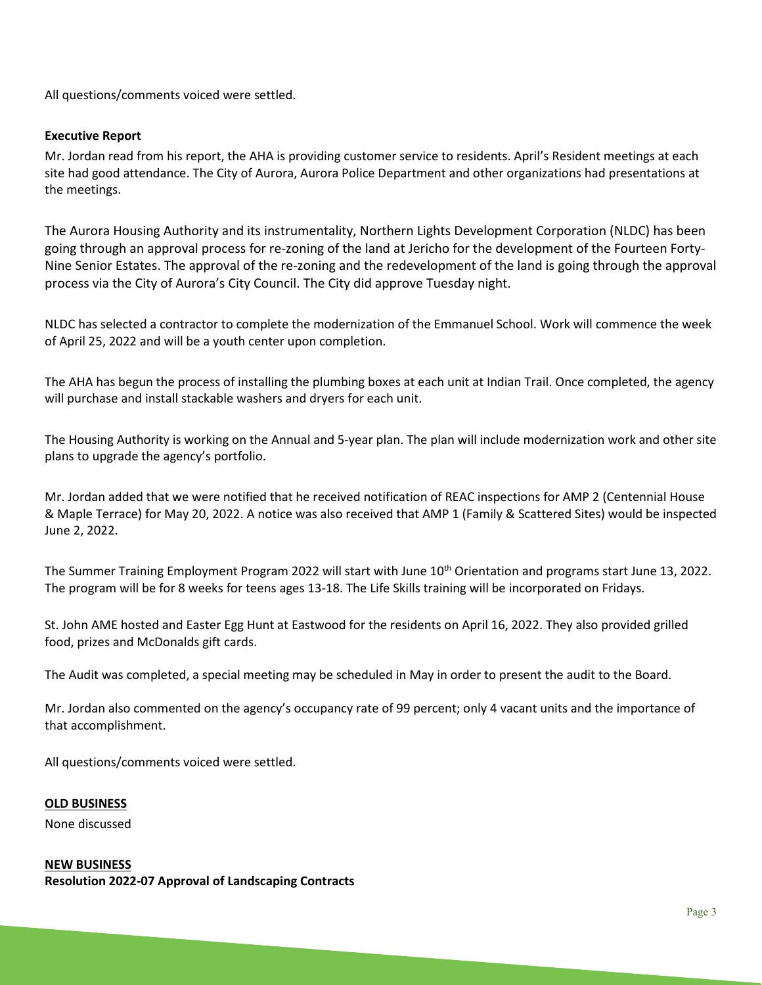All questions/comments voiced were settled.

# **Executive Report**

Mr. Jordan read from his report, the AHA is providing customer service to residents. April's Resident meetings at each site had good attendance. The City of Aurora, Aurora Police Department and other organizations had presentations at the meetings.

The Aurora Housing Authority and its instrumentality, Northern Lights Development Corporation (NLDC) has been going through an approval process for re-zoning of the land at Jericho for the development of the Fourteen Forty-Nine Senior Estates. The approval of the re-zoning and the redevelopment of the land is going through the approval process via the City of Aurora's City Council. The City did approve Tuesday night.

NLDC has selected a contractor to complete the modernization of the Emmanuel School. Work will commence the week of April 25, 2022 and will be a youth center upon completion.

The AHA has begun the process of installing the plumbing boxes at each unit at Indian Trail. Once completed, the agency will purchase and install stackable washers and dryers for each unit.

The Housing Authority is working on the Annual and 5-year plan. The plan will include modernization work and other site plans to upgrade the agency's portfolio.

Mr. Jordan added that we were notified that he received notification of REAC inspections for AMP 2 (Centennial House & Maple Terrace) for May 20, 2022. A notice was also received that AMP 1 (Family & Scattered Sites) would be inspected June 2, 2022.

The Summer Training Employment Program 2022 will start with June 10<sup>th</sup> Orientation and programs start June 13, 2022. The program will be for 8 weeks for teens ages 13-18. The Life Skills training will be incorporated on Fridays.

St. John AME hosted and Easter Egg Hunt at Eastwood for the residents on April 16, 2022. They also provided grilled food, prizes and McDonalds gift cards.

The Audit was completed, a special meeting may be scheduled in May in order to present the audit to the Board.

Mr. Jordan also commented on the agency's occupancy rate of 99 percent; only 4 vacant units and the importance of that accomplishment.

All questions/comments voiced were settled.

#### **OLD BUSINESS**

None discussed

**NEW BUSINESS Resolution 2022-07 Approval of Landscaping Contracts**